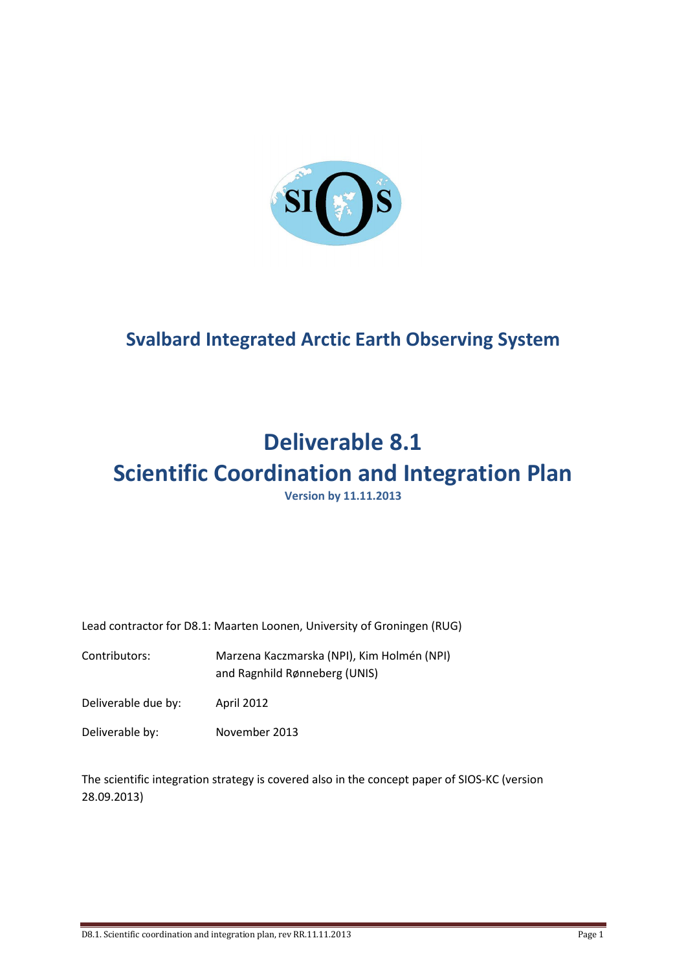

# **Svalbard Integrated Arctic Earth Observing System**

# **Deliverable 8.1**

# **Scientific Coordination and Integration Plan**

**Version by 11.11.2013**

Lead contractor for D8.1: Maarten Loonen, University of Groningen (RUG)

Contributors: Marzena Kaczmarska (NPI), Kim Holmén (NPI) and Ragnhild Rønneberg (UNIS)

Deliverable due by: April 2012

Deliverable by: November 2013

The scientific integration strategy is covered also in the concept paper of SIOS-KC (version 28.09.2013)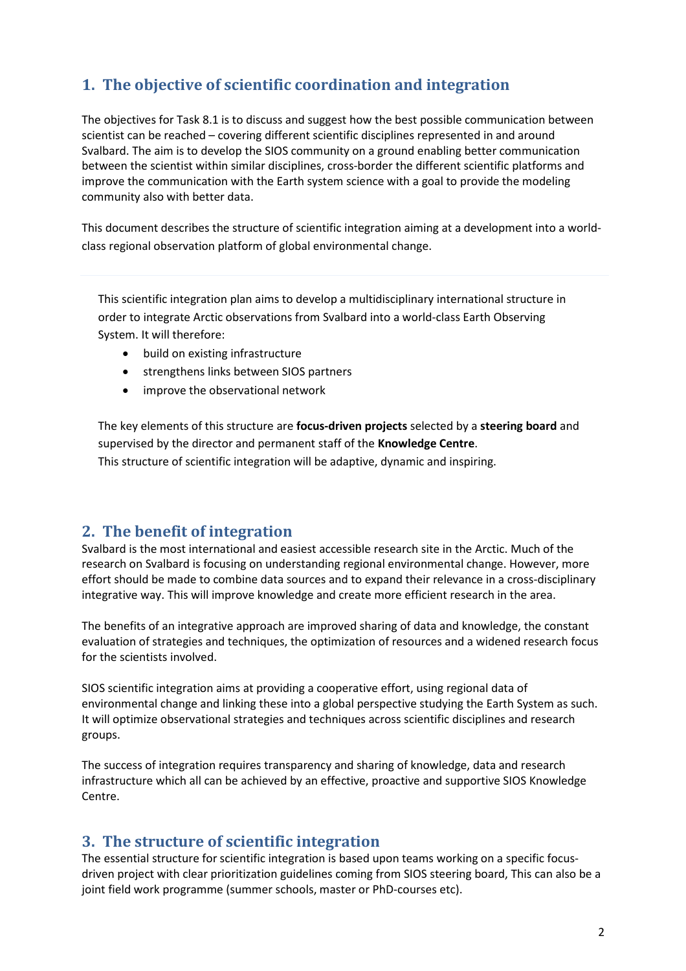## **1. The objective of scientific coordination and integration**

The objectives for Task 8.1 is to discuss and suggest how the best possible communication between scientist can be reached – covering different scientific disciplines represented in and around Svalbard. The aim is to develop the SIOS community on a ground enabling better communication between the scientist within similar disciplines, cross-border the different scientific platforms and improve the communication with the Earth system science with a goal to provide the modeling community also with better data.

This document describes the structure of scientific integration aiming at a development into a worldclass regional observation platform of global environmental change.

This scientific integration plan aims to develop a multidisciplinary international structure in order to integrate Arctic observations from Svalbard into a world-class Earth Observing System. It will therefore:

- build on existing infrastructure
- strengthens links between SIOS partners
- improve the observational network

The key elements of this structure are **focus-driven projects** selected by a **steering board** and supervised by the director and permanent staff of the **Knowledge Centre**. This structure of scientific integration will be adaptive, dynamic and inspiring.

### **2. The benefit of integration**

Svalbard is the most international and easiest accessible research site in the Arctic. Much of the research on Svalbard is focusing on understanding regional environmental change. However, more effort should be made to combine data sources and to expand their relevance in a cross-disciplinary integrative way. This will improve knowledge and create more efficient research in the area.

The benefits of an integrative approach are improved sharing of data and knowledge, the constant evaluation of strategies and techniques, the optimization of resources and a widened research focus for the scientists involved.

SIOS scientific integration aims at providing a cooperative effort, using regional data of environmental change and linking these into a global perspective studying the Earth System as such. It will optimize observational strategies and techniques across scientific disciplines and research groups.

The success of integration requires transparency and sharing of knowledge, data and research infrastructure which all can be achieved by an effective, proactive and supportive SIOS Knowledge Centre.

### **3. The structure of scientific integration**

The essential structure for scientific integration is based upon teams working on a specific focusdriven project with clear prioritization guidelines coming from SIOS steering board, This can also be a joint field work programme (summer schools, master or PhD-courses etc).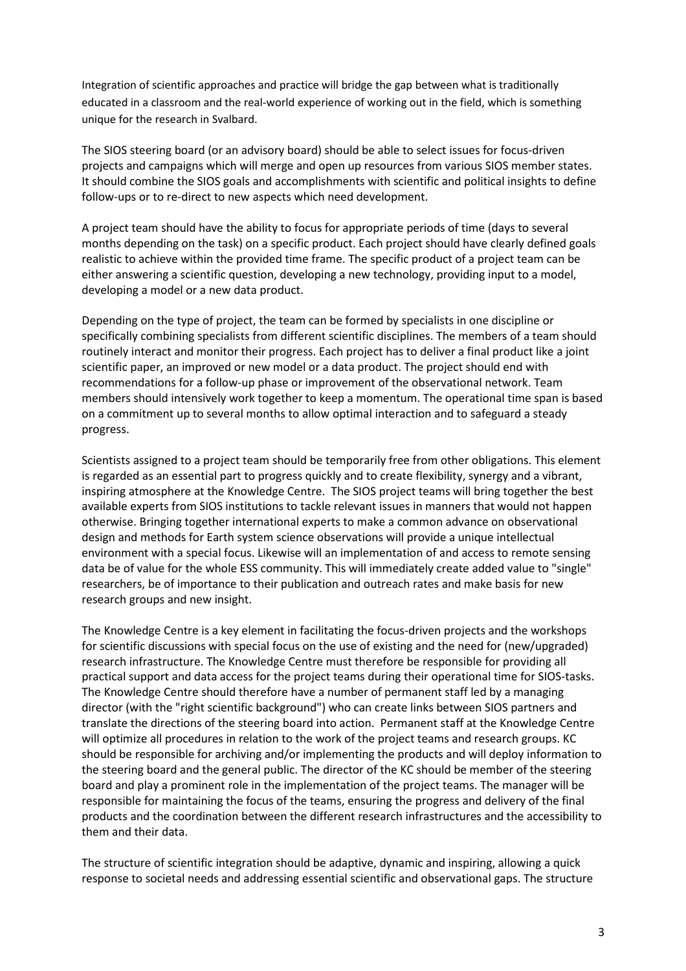Integration of scientific approaches and practice will bridge the gap between what is traditionally educated in a classroom and the real-world experience of working out in the field, which is something unique for the research in Svalbard.

The SIOS steering board (or an advisory board) should be able to select issues for focus-driven projects and campaigns which will merge and open up resources from various SIOS member states. It should combine the SIOS goals and accomplishments with scientific and political insights to define follow-ups or to re-direct to new aspects which need development.

A project team should have the ability to focus for appropriate periods of time (days to several months depending on the task) on a specific product. Each project should have clearly defined goals realistic to achieve within the provided time frame. The specific product of a project team can be either answering a scientific question, developing a new technology, providing input to a model, developing a model or a new data product.

Depending on the type of project, the team can be formed by specialists in one discipline or specifically combining specialists from different scientific disciplines. The members of a team should routinely interact and monitor their progress. Each project has to deliver a final product like a joint scientific paper, an improved or new model or a data product. The project should end with recommendations for a follow-up phase or improvement of the observational network. Team members should intensively work together to keep a momentum. The operational time span is based on a commitment up to several months to allow optimal interaction and to safeguard a steady progress.

Scientists assigned to a project team should be temporarily free from other obligations. This element is regarded as an essential part to progress quickly and to create flexibility, synergy and a vibrant, inspiring atmosphere at the Knowledge Centre. The SIOS project teams will bring together the best available experts from SIOS institutions to tackle relevant issues in manners that would not happen otherwise. Bringing together international experts to make a common advance on observational design and methods for Earth system science observations will provide a unique intellectual environment with a special focus. Likewise will an implementation of and access to remote sensing data be of value for the whole ESS community. This will immediately create added value to "single" researchers, be of importance to their publication and outreach rates and make basis for new research groups and new insight.

The Knowledge Centre is a key element in facilitating the focus-driven projects and the workshops for scientific discussions with special focus on the use of existing and the need for (new/upgraded) research infrastructure. The Knowledge Centre must therefore be responsible for providing all practical support and data access for the project teams during their operational time for SIOS-tasks. The Knowledge Centre should therefore have a number of permanent staff led by a managing director (with the "right scientific background") who can create links between SIOS partners and translate the directions of the steering board into action. Permanent staff at the Knowledge Centre will optimize all procedures in relation to the work of the project teams and research groups. KC should be responsible for archiving and/or implementing the products and will deploy information to the steering board and the general public. The director of the KC should be member of the steering board and play a prominent role in the implementation of the project teams. The manager will be responsible for maintaining the focus of the teams, ensuring the progress and delivery of the final products and the coordination between the different research infrastructures and the accessibility to them and their data.

The structure of scientific integration should be adaptive, dynamic and inspiring, allowing a quick response to societal needs and addressing essential scientific and observational gaps. The structure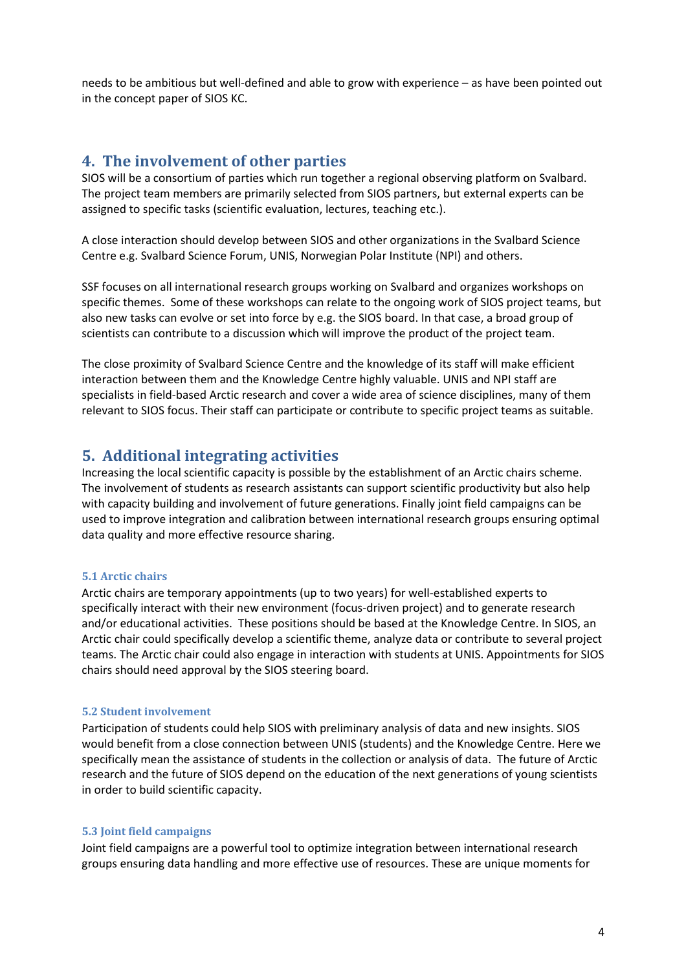needs to be ambitious but well-defined and able to grow with experience – as have been pointed out in the concept paper of SIOS KC.

#### **4. The involvement of other parties**

SIOS will be a consortium of parties which run together a regional observing platform on Svalbard. The project team members are primarily selected from SIOS partners, but external experts can be assigned to specific tasks (scientific evaluation, lectures, teaching etc.).

A close interaction should develop between SIOS and other organizations in the Svalbard Science Centre e.g. Svalbard Science Forum, UNIS, Norwegian Polar Institute (NPI) and others.

SSF focuses on all international research groups working on Svalbard and organizes workshops on specific themes. Some of these workshops can relate to the ongoing work of SIOS project teams, but also new tasks can evolve or set into force by e.g. the SIOS board. In that case, a broad group of scientists can contribute to a discussion which will improve the product of the project team.

The close proximity of Svalbard Science Centre and the knowledge of its staff will make efficient interaction between them and the Knowledge Centre highly valuable. UNIS and NPI staff are specialists in field-based Arctic research and cover a wide area of science disciplines, many of them relevant to SIOS focus. Their staff can participate or contribute to specific project teams as suitable.

#### **5. Additional integrating activities**

Increasing the local scientific capacity is possible by the establishment of an Arctic chairs scheme. The involvement of students as research assistants can support scientific productivity but also help with capacity building and involvement of future generations. Finally joint field campaigns can be used to improve integration and calibration between international research groups ensuring optimal data quality and more effective resource sharing.

#### **5.1 Arctic chairs**

Arctic chairs are temporary appointments (up to two years) for well-established experts to specifically interact with their new environment (focus-driven project) and to generate research and/or educational activities. These positions should be based at the Knowledge Centre. In SIOS, an Arctic chair could specifically develop a scientific theme, analyze data or contribute to several project teams. The Arctic chair could also engage in interaction with students at UNIS. Appointments for SIOS chairs should need approval by the SIOS steering board.

#### **5.2 Student involvement**

Participation of students could help SIOS with preliminary analysis of data and new insights. SIOS would benefit from a close connection between UNIS (students) and the Knowledge Centre. Here we specifically mean the assistance of students in the collection or analysis of data. The future of Arctic research and the future of SIOS depend on the education of the next generations of young scientists in order to build scientific capacity.

#### **5.3 Joint field campaigns**

Joint field campaigns are a powerful tool to optimize integration between international research groups ensuring data handling and more effective use of resources. These are unique moments for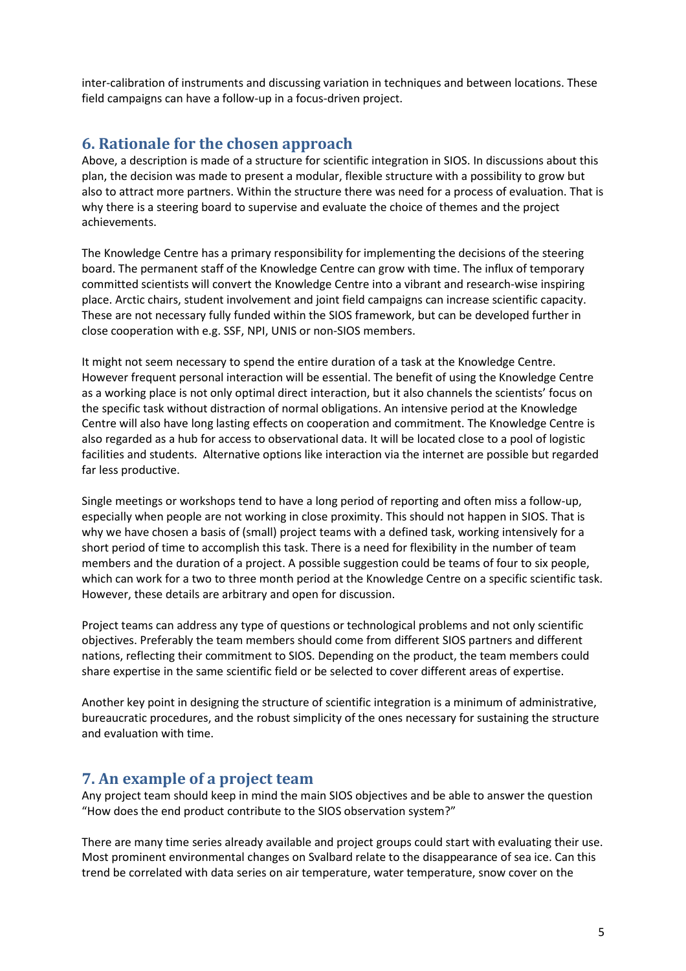inter-calibration of instruments and discussing variation in techniques and between locations. These field campaigns can have a follow-up in a focus-driven project.

### **6. Rationale for the chosen approach**

Above, a description is made of a structure for scientific integration in SIOS. In discussions about this plan, the decision was made to present a modular, flexible structure with a possibility to grow but also to attract more partners. Within the structure there was need for a process of evaluation. That is why there is a steering board to supervise and evaluate the choice of themes and the project achievements.

The Knowledge Centre has a primary responsibility for implementing the decisions of the steering board. The permanent staff of the Knowledge Centre can grow with time. The influx of temporary committed scientists will convert the Knowledge Centre into a vibrant and research-wise inspiring place. Arctic chairs, student involvement and joint field campaigns can increase scientific capacity. These are not necessary fully funded within the SIOS framework, but can be developed further in close cooperation with e.g. SSF, NPI, UNIS or non-SIOS members.

It might not seem necessary to spend the entire duration of a task at the Knowledge Centre. However frequent personal interaction will be essential. The benefit of using the Knowledge Centre as a working place is not only optimal direct interaction, but it also channels the scientists' focus on the specific task without distraction of normal obligations. An intensive period at the Knowledge Centre will also have long lasting effects on cooperation and commitment. The Knowledge Centre is also regarded as a hub for access to observational data. It will be located close to a pool of logistic facilities and students. Alternative options like interaction via the internet are possible but regarded far less productive.

Single meetings or workshops tend to have a long period of reporting and often miss a follow-up, especially when people are not working in close proximity. This should not happen in SIOS. That is why we have chosen a basis of (small) project teams with a defined task, working intensively for a short period of time to accomplish this task. There is a need for flexibility in the number of team members and the duration of a project. A possible suggestion could be teams of four to six people, which can work for a two to three month period at the Knowledge Centre on a specific scientific task. However, these details are arbitrary and open for discussion.

Project teams can address any type of questions or technological problems and not only scientific objectives. Preferably the team members should come from different SIOS partners and different nations, reflecting their commitment to SIOS. Depending on the product, the team members could share expertise in the same scientific field or be selected to cover different areas of expertise.

Another key point in designing the structure of scientific integration is a minimum of administrative, bureaucratic procedures, and the robust simplicity of the ones necessary for sustaining the structure and evaluation with time.

## **7. An example of a project team**

Any project team should keep in mind the main SIOS objectives and be able to answer the question "How does the end product contribute to the SIOS observation system?"

There are many time series already available and project groups could start with evaluating their use. Most prominent environmental changes on Svalbard relate to the disappearance of sea ice. Can this trend be correlated with data series on air temperature, water temperature, snow cover on the